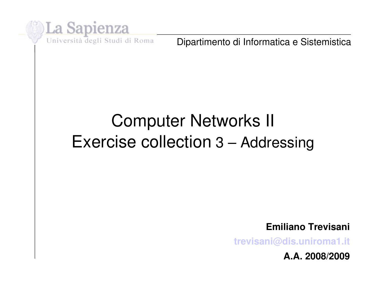

Dipartimento di Informatica e Sistemistica

## Computer Networks II Exercise collection 3 – Addressing

**Emiliano Trevisani**

**[trevisani@dis.uniroma1.it](mailto:trevisani@dis.uniroma1.it)**

**A.A. 2008/2009**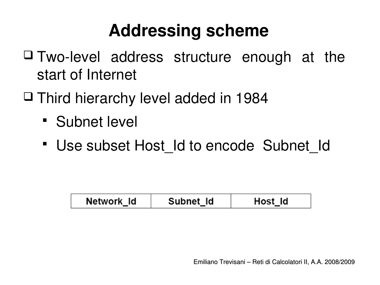## **Addressing scheme**

- $\Box$  Two-level address structure enough at the start of Internet
- $\Box$  Third hierarchy level added in 1984
	- **Subnet level**
	- Use subset Host\_Id to encode Subnet\_Id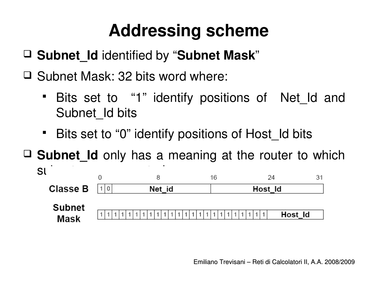# **Addressing scheme**

**Subnet\_Id** identified by "**Subnet Mask**"

 $\Box$  Subnet Mask: 32 bits word where:

- Bits set to "1" identify positions of Net\_Id and Subnet Id bits
- **Bits set to "0" identify positions of Host Id bits**

**Subnet\_Id** only has a meaning at the router to which

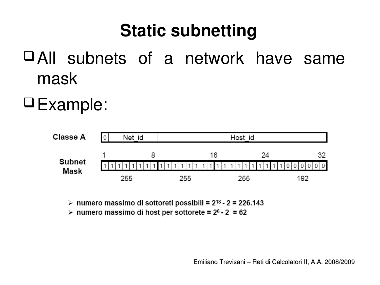### **Static subnetting**

- All subnets of a network have same mask
- Example:



> numero massimo di sottoreti possibili =  $2^{18}$  - 2 = 226.143

> numero massimo di host per sottorete =  $2^6 - 2 = 62$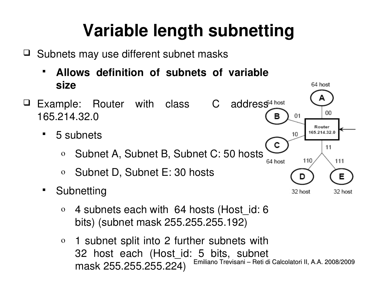## **Variable length subnetting**

 $\Box$  Subnets may use different subnet masks

 **Allows definition of subnets of variable size** 



- 5 subnets
	- o Subnet A, Subnet B, Subnet C: 50 hosts
	- o Subnet D, Subnet E: 30 hosts
- **-** Subnetting
	- $\circ$  4 subnets each with 64 hosts (Host id: 6 bits) (subnet mask 255.255.255.192)
	- Emiliano Trevisani Reti di Calcolatori II, A.A. 2008/2009 o 1 subnet split into 2 further subnets with 32 host each (Host\_id: 5 bits, subnet mask 255.255.255.224)

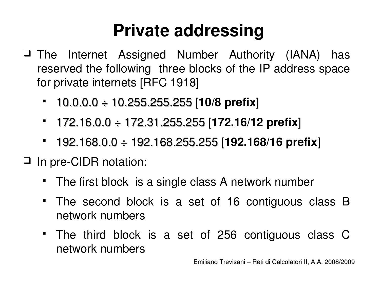### **Private addressing**

- $\Box$  The Internet Assigned Number Authority (IANA) has reserved the following three blocks of the IP address space for private internets [RFC 1918]
	- 10.0.0.0 ÷ 10.255.255.255 [**10/8 prefix**]
	- 172.16.0.0 ÷ 172.31.255.255 [**172.16/12 prefix**]
	- 192.168.0.0 ÷ 192.168.255.255 [**192.168/16 prefix**]
- □ In pre-CIDR notation:
	- The first block is a single class A network number
	- The second block is a set of 16 contiguous class B network numbers
	- The third block is a set of 256 contiguous class C network numbers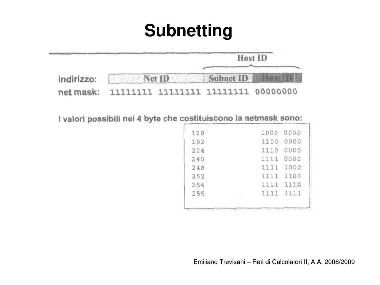### **Subnetting**



I valori possibili nei 4 byte che costituiscono la netmask sono:

| 128 | 1000      | 0000      |
|-----|-----------|-----------|
| 192 | 1100      | 0000      |
| 224 | 1110      | 0000      |
| 240 | 1111      | 0000      |
| 248 | 1111      | 1000      |
| 252 | 1111 1100 |           |
| 254 | 1111      | 1110      |
| 255 |           | 1111 1111 |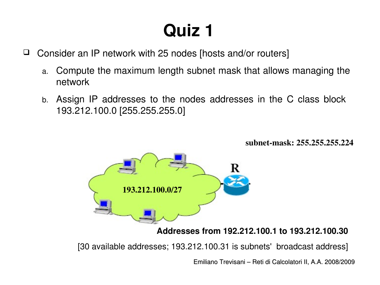### **Quiz 1**

- □ Consider an IP network with 25 nodes [hosts and/or routers]
	- a. Compute the maximum length subnet mask that allows managing the network
	- b. Assign IP addresses to the nodes addresses in the C class block 193.212.100.0 [255.255.255.0]

subnet-mask: 255.255.255.224



#### **Addresses from 192.212.100.1 to 193.212.100.30**

[30 available addresses; 193.212.100.31 is subnets' broadcast address]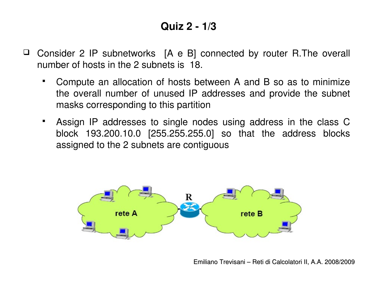#### **Quiz 2 1/3**

- $\Box$  Consider 2 IP subnetworks  $[A \in B]$  connected by router R.The overall number of hosts in the 2 subnets is 18.
	- Compute an allocation of hosts between A and B so as to minimize the overall number of unused IP addresses and provide the subnet masks corresponding to this partition
	- Assign IP addresses to single nodes using address in the class C block 193.200.10.0 [255.255.255.0] so that the address blocks assigned to the 2 subnets are contiguous

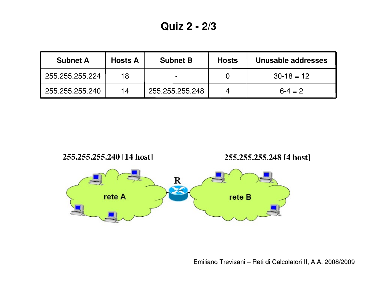| <b>Subnet A</b> | <b>Hosts A</b> | <b>Subnet B</b>          | <b>Hosts</b> | Unusable addresses |
|-----------------|----------------|--------------------------|--------------|--------------------|
| 255.255.255.224 | 18             | $\overline{\phantom{0}}$ |              | $30-18 = 12$       |
| 255.255.255.240 | 14             | 255.255.255.248          |              | $6 - 4 = 2$        |

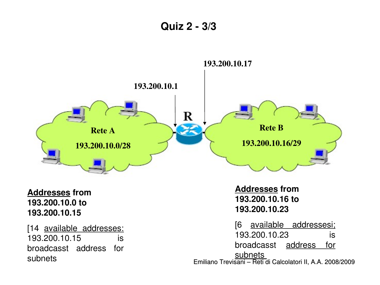**Quiz 2 3/3**

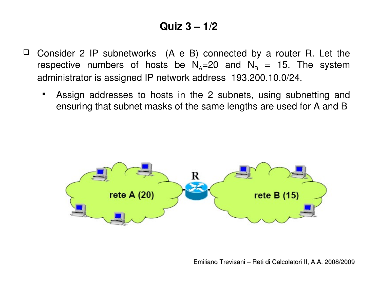#### **Quiz 3 – 1/2**

- $\Box$  Consider 2 IP subnetworks  $(A \in B)$  connected by a router R. Let the respective numbers of hosts be  $N_A=20$  and  $N_B = 15$ . The system administrator is assigned IP network address 193.200.10.0/24.
	- Assign addresses to hosts in the 2 subnets, using subnetting and ensuring that subnet masks of the same lengths are used for A and B

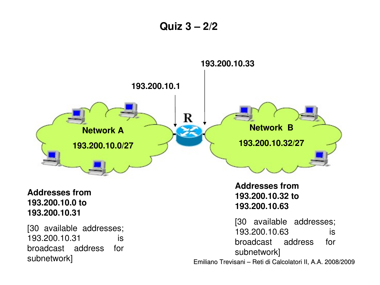**Quiz 3 – 2/2**

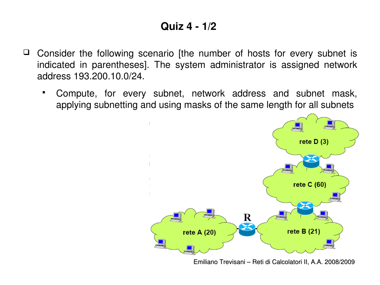#### **Quiz 4 1/2**

- $\Box$  Consider the following scenario (the number of hosts for every subnet is indicated in parentheses]. The system administrator is assigned network address 193.200.10.0/24.
	- Compute, for every subnet, network address and subnet mask, applying subnetting and using masks of the same length for all subnets



Emiliano Trevisani – Reti di Calcolatori II, A.A. 2008/2009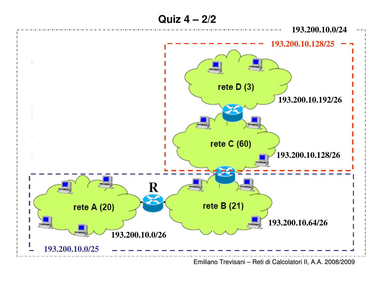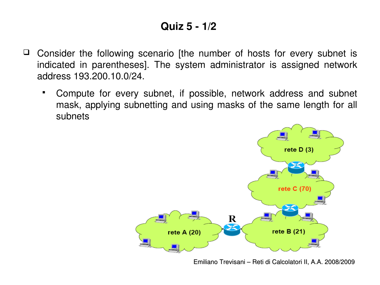#### **Quiz 5 1/2**

- $\Box$  Consider the following scenario (the number of hosts for every subnet is indicated in parentheses]. The system administrator is assigned network address 193.200.10.0/24.
	- Compute for every subnet, if possible, network address and subnet mask, applying subnetting and using masks of the same length for all subnets

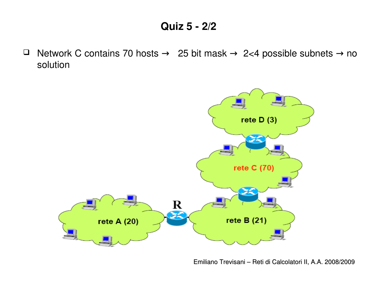#### **Quiz 5 2/2**

 $\Box$  Network C contains 70 hosts  $\rightarrow$  25 bit mask  $\rightarrow$  2<4 possible subnets  $\rightarrow$  no solution

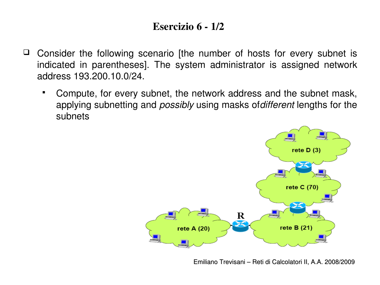#### Esercizio 6 - 1/2

- $\Box$  Consider the following scenario (the number of hosts for every subnet is indicated in parentheses]. The system administrator is assigned network address 193.200.10.0/24.
	- Compute, for every subnet, the network address and the subnet mask, applying subnetting and *possibly* using masks of*different* lengths for the subnets

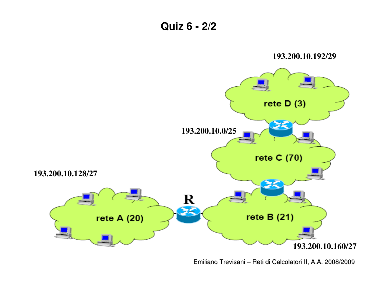

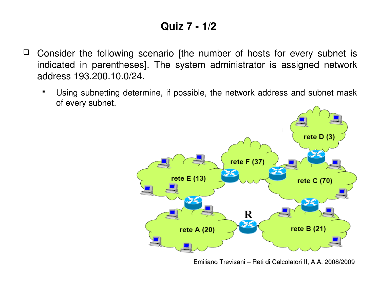#### **Quiz 7 1/2**

- $\Box$  Consider the following scenario (the number of hosts for every subnet is indicated in parentheses]. The system administrator is assigned network address 193.200.10.0/24.
	- Using subnetting determine, if possible, the network address and subnet mask of every subnet.

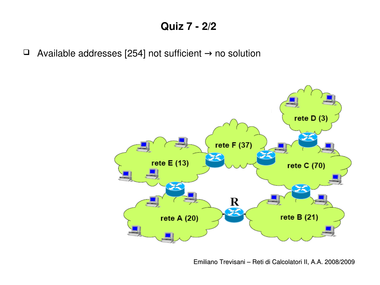#### **Quiz 7 2/2**

Available addresses [254] not sufficient no solution →

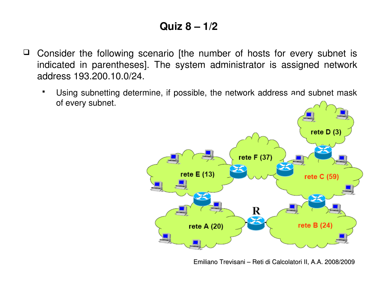### **Quiz 8 – 1/2**

- $\Box$  Consider the following scenario (the number of hosts for every subnet is indicated in parentheses]. The system administrator is assigned network address 193.200.10.0/24.
	- Using subnetting determine, if possible, the network address and subnet mask of every subnet.